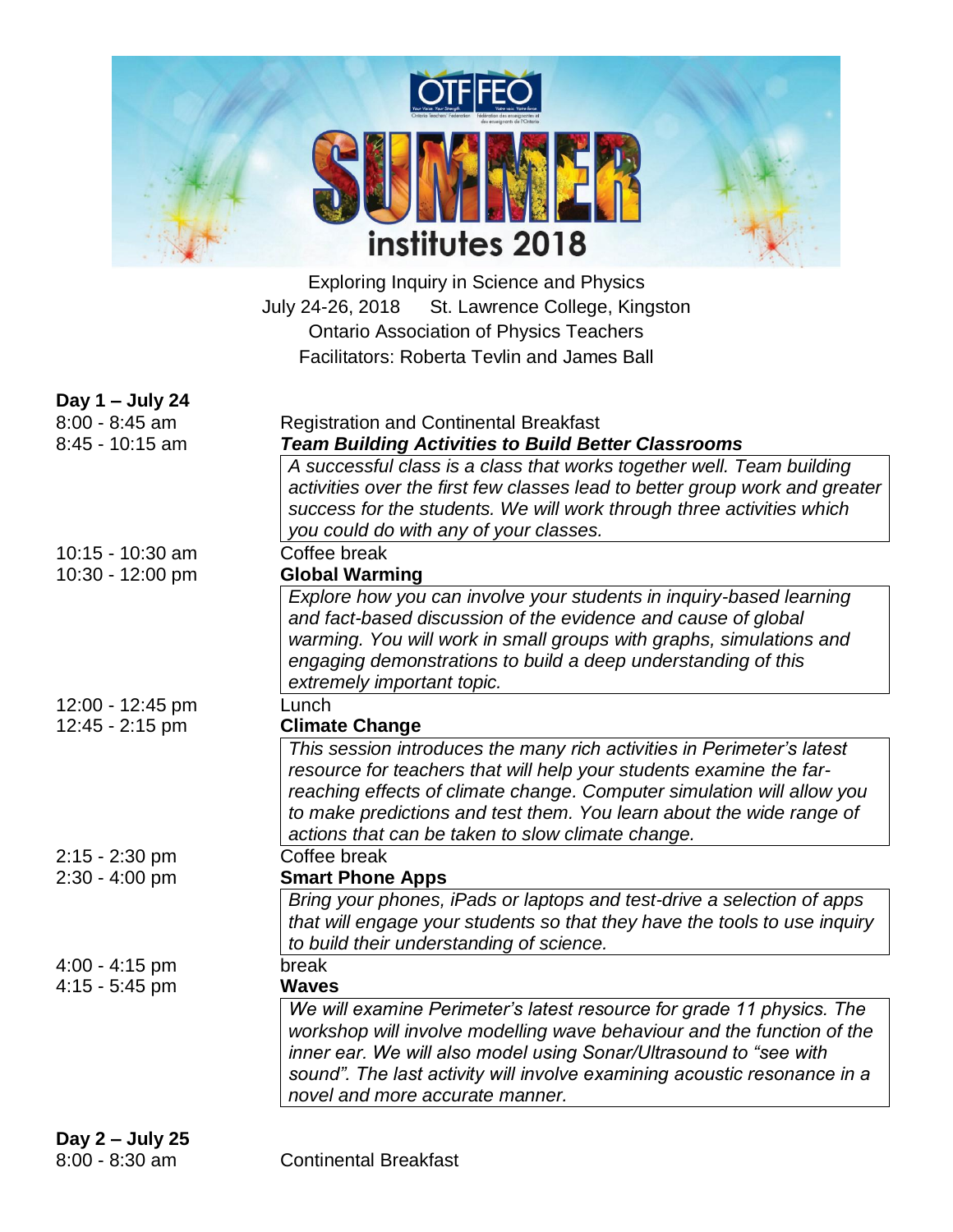| <b>OTFFFOT</b><br>Votre vaix. Votre force.<br>Your Voice, Your Strength<br>Ontario Teachers' Federation<br>Fédération des enseignantes et<br>des enseignants de l'Ontario |  |
|---------------------------------------------------------------------------------------------------------------------------------------------------------------------------|--|
|                                                                                                                                                                           |  |
| institutes 2018                                                                                                                                                           |  |

Exploring Inquiry in Science and Physics July 24-26, 2018 St. Lawrence College, Kingston Ontario Association of Physics Teachers Facilitators: Roberta Tevlin and James Ball

| Day 1 - July 24                      |                                                                                                                                     |  |  |
|--------------------------------------|-------------------------------------------------------------------------------------------------------------------------------------|--|--|
| $8:00 - 8:45$ am                     | <b>Registration and Continental Breakfast</b>                                                                                       |  |  |
| 8:45 - 10:15 am                      | <b>Team Building Activities to Build Better Classrooms</b><br>A successful class is a class that works together well. Team building |  |  |
|                                      | activities over the first few classes lead to better group work and greater                                                         |  |  |
|                                      | success for the students. We will work through three activities which                                                               |  |  |
|                                      | you could do with any of your classes.                                                                                              |  |  |
| 10:15 - 10:30 am                     | Coffee break                                                                                                                        |  |  |
| 10:30 - 12:00 pm                     | <b>Global Warming</b>                                                                                                               |  |  |
|                                      | Explore how you can involve your students in inquiry-based learning                                                                 |  |  |
|                                      | and fact-based discussion of the evidence and cause of global                                                                       |  |  |
|                                      | warming. You will work in small groups with graphs, simulations and                                                                 |  |  |
|                                      | engaging demonstrations to build a deep understanding of this                                                                       |  |  |
|                                      | extremely important topic.<br>Lunch                                                                                                 |  |  |
| 12:00 - 12:45 pm<br>12:45 - 2:15 pm  | <b>Climate Change</b>                                                                                                               |  |  |
|                                      | This session introduces the many rich activities in Perimeter's latest                                                              |  |  |
|                                      | resource for teachers that will help your students examine the far-                                                                 |  |  |
|                                      | reaching effects of climate change. Computer simulation will allow you                                                              |  |  |
|                                      | to make predictions and test them. You learn about the wide range of                                                                |  |  |
|                                      | actions that can be taken to slow climate change.                                                                                   |  |  |
| $2:15 - 2:30$ pm                     | Coffee break                                                                                                                        |  |  |
| $2:30 - 4:00$ pm                     | <b>Smart Phone Apps</b>                                                                                                             |  |  |
|                                      | Bring your phones, iPads or laptops and test-drive a selection of apps                                                              |  |  |
|                                      | that will engage your students so that they have the tools to use inquiry                                                           |  |  |
|                                      | to build their understanding of science.                                                                                            |  |  |
| $4:00 - 4:15$ pm<br>$4:15 - 5:45$ pm | break<br><b>Waves</b>                                                                                                               |  |  |
|                                      | We will examine Perimeter's latest resource for grade 11 physics. The                                                               |  |  |
|                                      | workshop will involve modelling wave behaviour and the function of the                                                              |  |  |
|                                      | inner ear. We will also model using Sonar/Ultrasound to "see with                                                                   |  |  |
|                                      | sound". The last activity will involve examining acoustic resonance in a                                                            |  |  |
|                                      | novel and more accurate manner.                                                                                                     |  |  |
|                                      |                                                                                                                                     |  |  |
| Day $2$ – July 25                    |                                                                                                                                     |  |  |
| $8:00 - 8:30$ am                     | <b>Continental Breakfast</b>                                                                                                        |  |  |